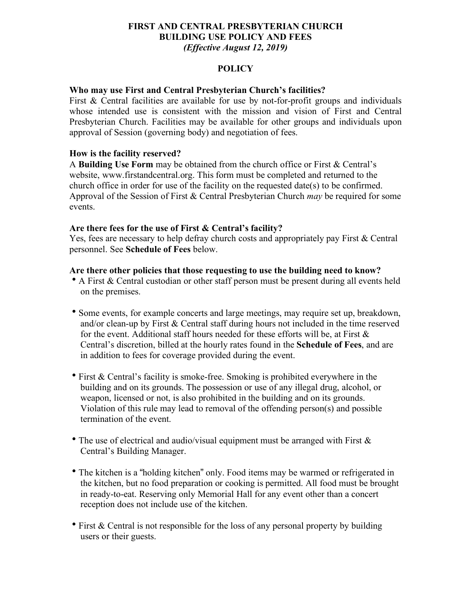#### **FIRST AND CENTRAL PRESBYTERIAN CHURCH BUILDING USE POLICY AND FEES** *(Effective August 12, 2019)*

#### **POLICY**

#### **Who may use First and Central Presbyterian Church's facilities?**

First & Central facilities are available for use by not-for-profit groups and individuals whose intended use is consistent with the mission and vision of First and Central Presbyterian Church. Facilities may be available for other groups and individuals upon approval of Session (governing body) and negotiation of fees.

#### **How is the facility reserved?**

A **Building Use Form** may be obtained from the church office or First & Central's website, www.firstandcentral.org. This form must be completed and returned to the church office in order for use of the facility on the requested date(s) to be confirmed. Approval of the Session of First & Central Presbyterian Church *may* be required for some events.

#### **Are there fees for the use of First & Central's facility?**

Yes, fees are necessary to help defray church costs and appropriately pay First & Central personnel. See **Schedule of Fees** below.

#### **Are there other policies that those requesting to use the building need to know?**

- A First & Central custodian or other staff person must be present during all events held on the premises.
- Some events, for example concerts and large meetings, may require set up, breakdown, and/or clean-up by First  $\&$  Central staff during hours not included in the time reserved for the event. Additional staff hours needed for these efforts will be, at First  $\&$ Central's discretion, billed at the hourly rates found in the **Schedule of Fees**, and are in addition to fees for coverage provided during the event.
- $\bullet$  First & Central's facility is smoke-free. Smoking is prohibited everywhere in the building and on its grounds. The possession or use of any illegal drug, alcohol, or weapon, licensed or not, is also prohibited in the building and on its grounds. Violation of this rule may lead to removal of the offending person(s) and possible termination of the event.
- The use of electrical and audio/visual equipment must be arranged with First  $\&$ Central's Building Manager.
- The kitchen is a "holding kitchen" only. Food items may be warmed or refrigerated in the kitchen, but no food preparation or cooking is permitted. All food must be brought in ready-to-eat. Reserving only Memorial Hall for any event other than a concert reception does not include use of the kitchen.
- First  $\&$  Central is not responsible for the loss of any personal property by building users or their guests.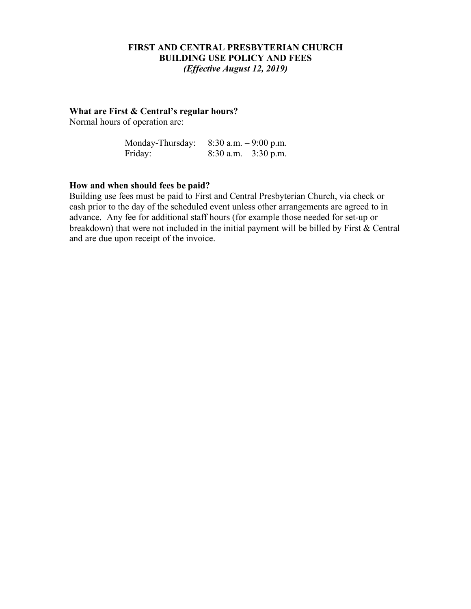#### **FIRST AND CENTRAL PRESBYTERIAN CHURCH BUILDING USE POLICY AND FEES** *(Effective August 12, 2019)*

#### **What are First & Central's regular hours?**

Normal hours of operation are:

| Monday-Thursday: | $8:30$ a.m. $-9:00$ p.m. |
|------------------|--------------------------|
| Friday:          | $8:30$ a.m. $-3:30$ p.m. |

#### **How and when should fees be paid?**

Building use fees must be paid to First and Central Presbyterian Church, via check or cash prior to the day of the scheduled event unless other arrangements are agreed to in advance. Any fee for additional staff hours (for example those needed for set-up or breakdown) that were not included in the initial payment will be billed by First & Central and are due upon receipt of the invoice.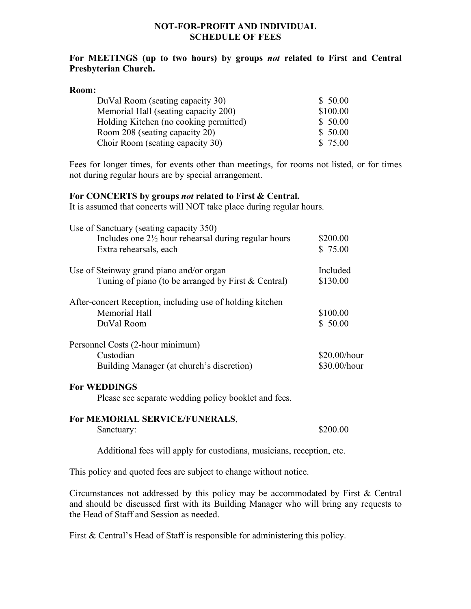#### **NOT-FOR-PROFIT AND INDIVIDUAL SCHEDULE OF FEES**

#### **For MEETINGS (up to two hours) by groups** *not* **related to First and Central Presbyterian Church.**

#### **Room:**

| DuVal Room (seating capacity 30)       | \$50.00  |  |
|----------------------------------------|----------|--|
| Memorial Hall (seating capacity 200)   | \$100.00 |  |
| Holding Kitchen (no cooking permitted) | \$50.00  |  |
| Room 208 (seating capacity 20)         | \$50.00  |  |
| Choir Room (seating capacity 30)       | \$75.00  |  |

Fees for longer times, for events other than meetings, for rooms not listed, or for times not during regular hours are by special arrangement.

#### **For CONCERTS by groups** *not* **related to First & Central.**

It is assumed that concerts will NOT take place during regular hours.

| Use of Sanctuary (seating capacity 350)                         |              |
|-----------------------------------------------------------------|--------------|
| Includes one $2\frac{1}{2}$ hour rehearsal during regular hours | \$200.00     |
| Extra rehearsals, each                                          | \$75.00      |
| Use of Steinway grand piano and/or organ                        | Included     |
| Tuning of piano (to be arranged by First & Central)             | \$130.00     |
| After-concert Reception, including use of holding kitchen       |              |
| Memorial Hall                                                   | \$100.00     |
| DuVal Room                                                      | \$50.00      |
| Personnel Costs (2-hour minimum)                                |              |
| Custodian                                                       | \$20.00/hour |
| Building Manager (at church's discretion)                       | \$30.00/hour |

#### **For WEDDINGS**

Please see separate wedding policy booklet and fees.

### **For MEMORIAL SERVICE/FUNERALS**, Sanctuary:  $$200.00$

Additional fees will apply for custodians, musicians, reception, etc.

This policy and quoted fees are subject to change without notice.

Circumstances not addressed by this policy may be accommodated by First & Central and should be discussed first with its Building Manager who will bring any requests to the Head of Staff and Session as needed.

First & Central's Head of Staff is responsible for administering this policy.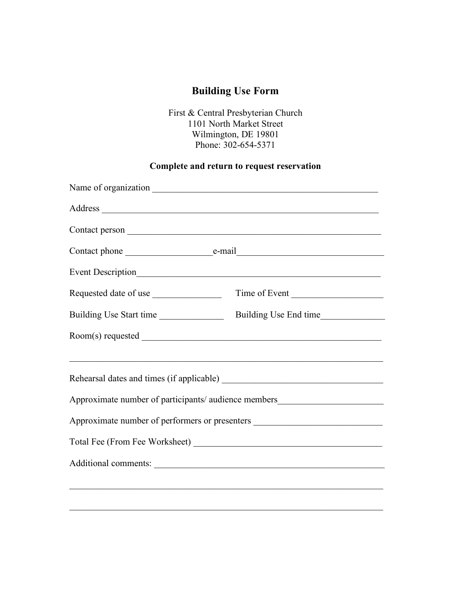# **Building Use Form**

First & Central Presbyterian Church 1101 North Market Street Wilmington, DE 19801 Phone: 302-654-5371

## **Complete and return to request reservation**

| Event Description                                                                |  |  |
|----------------------------------------------------------------------------------|--|--|
|                                                                                  |  |  |
|                                                                                  |  |  |
|                                                                                  |  |  |
|                                                                                  |  |  |
|                                                                                  |  |  |
| Approximate number of participants/ audience members____________________________ |  |  |
| Approximate number of performers or presenters _________________________________ |  |  |
|                                                                                  |  |  |
|                                                                                  |  |  |
|                                                                                  |  |  |
|                                                                                  |  |  |

 $\mathcal{L}_\mathcal{L} = \{ \mathcal{L}_\mathcal{L} = \{ \mathcal{L}_\mathcal{L} = \{ \mathcal{L}_\mathcal{L} = \{ \mathcal{L}_\mathcal{L} = \{ \mathcal{L}_\mathcal{L} = \{ \mathcal{L}_\mathcal{L} = \{ \mathcal{L}_\mathcal{L} = \{ \mathcal{L}_\mathcal{L} = \{ \mathcal{L}_\mathcal{L} = \{ \mathcal{L}_\mathcal{L} = \{ \mathcal{L}_\mathcal{L} = \{ \mathcal{L}_\mathcal{L} = \{ \mathcal{L}_\mathcal{L} = \{ \mathcal{L}_\mathcal{$